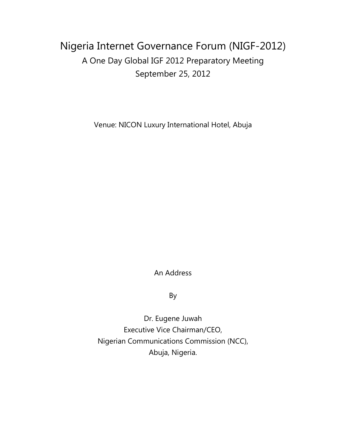## Nigeria Internet Governance Forum (NIGF-2012) A One Day Global IGF 2012 Preparatory Meeting September 25, 2012

Venue: NICON Luxury International Hotel, Abuja

An Address

By

Dr. Eugene Juwah Executive Vice Chairman/CEO, Nigerian Communications Commission (NCC), Abuja, Nigeria.